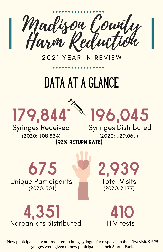Madison County Harm Reduction

2021 YEAR IN REVIEW

## data at a Glance



Syringes Received Syringes Distributed

(2020: 108,534) (2020: 129,061)

(92% return rate)





Total Visits (2020: 2177)

2,939

410

\*New participants are not required to bring syringes for disposal on their first visit. 9,695 syringes were given to new participants in their Starter Pack.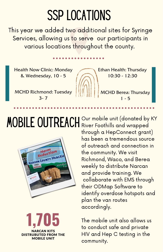### SSP LOCATIONS

This year we added two additional sites for Syringe Services, allowing us to serve our participants in various locations throughout the county.

Health Now Clinic: Monday & Wednesday, 10 - 5



Ethan Health: Thursday 10:30 - 12:30

MCHD Richmond: Tuesday 3- 7

MCHD Berea: Thursday  $1 - 5$ 



**1,705** NARCAN KITS DISTRUBUTED FROM THE MOBILE UNIT

**MOBILE OUTREACH** Our mobile unit (donated by KY River Foothills and wrapped through a HepConnect grant) has been a tremendous source of outreach and connection in the community. We visit Richmond, Waco, and Berea weekly to distribute Narcan and provide training. We collaborate with EMS through their ODMap Software to identify overdose hotspots and plan the van routes accordingly.

> The mobile unit also allows us to conduct safe and private HIV and Hep C testing in the community.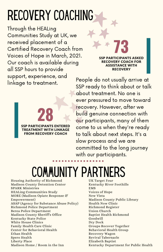# recovery coaching

Through the HEALing Communities Study at UK, we received placement of a Certified Recovery Coach from Voices of Hope in March, 2021. Our coach is available during all SSP hours to provide support, experience, and linkage to treatment.

> **28** SSP PARTICIPANTS ENTERED TREATMENT WITH LINKAGE FROM RECOVERY COACH

**73** SSP PARTICIPANTS ASKED RECOVERY COACH FOR ASSISTANCE WITH **RECOVERY** 

People do not usually arrive at SSP ready to think about or talk about treatment. No one is ever pressured to move toward recovery. However, after we build genuine connection with our participants, many of them come to us when they're ready to talk about next steps. It's a slow process and we are committed to the long journey with our participants.

#### COMMUNITY PART

Housing Authority of Richmond Madison County Detention Center SPARK Ministries HEALing Communities Study MORE (Madison Opiate Response & Empowerment) ASAP (Agency for Substance Abuse Policy) Richmond Police Department Berea Police Department Madison County Sheriff's Office Kentucky State Police White House Clinics Family Health Care Clinic Center for Behavioral Health Ethan Health Spero Health Liberty Place Madison Home / Room in the Inn

UK Target Four Kentucky River Foothills EMS Voices of Hope New Vista Madison County Public Library Health Now Clinic Richmond Register Union Church Baptist Health Richmond Goodwill Dry Dock Groups Recover Together Behavioral Health Group Recovery Wagon Revival Tabernacle Elizabeth Baptist Kentucky Department for Public Health